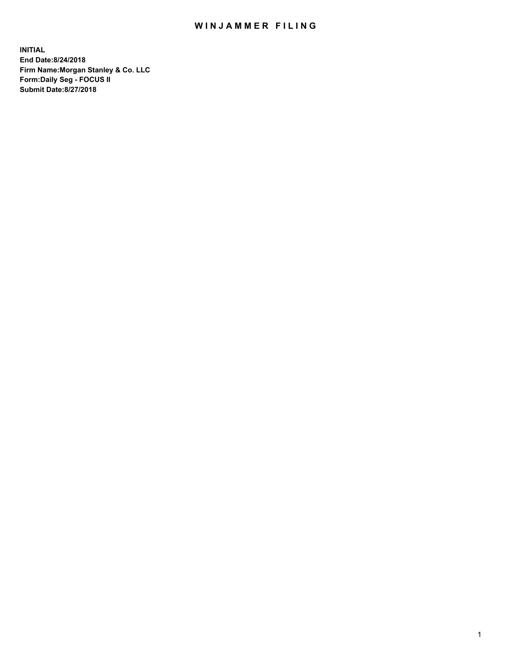## WIN JAMMER FILING

**INITIAL End Date:8/24/2018 Firm Name:Morgan Stanley & Co. LLC Form:Daily Seg - FOCUS II Submit Date:8/27/2018**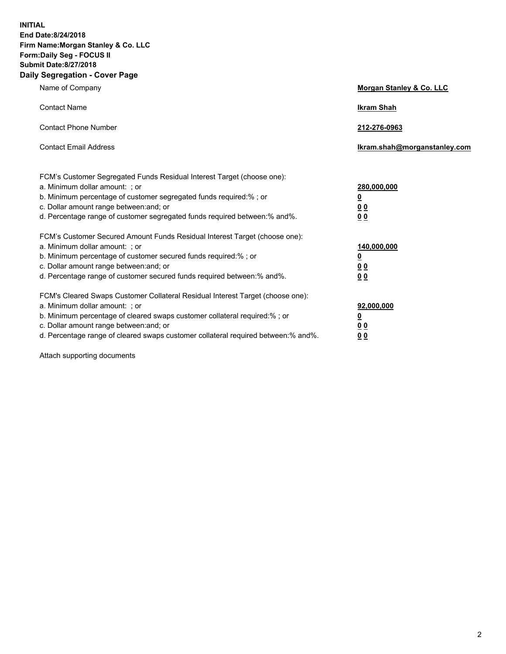**INITIAL End Date:8/24/2018 Firm Name:Morgan Stanley & Co. LLC Form:Daily Seg - FOCUS II Submit Date:8/27/2018 Daily Segregation - Cover Page**

| Name of Company                                                                                                                                                                                                                                                                                                                | Morgan Stanley & Co. LLC                                    |  |
|--------------------------------------------------------------------------------------------------------------------------------------------------------------------------------------------------------------------------------------------------------------------------------------------------------------------------------|-------------------------------------------------------------|--|
| <b>Contact Name</b>                                                                                                                                                                                                                                                                                                            | <b>Ikram Shah</b>                                           |  |
| <b>Contact Phone Number</b>                                                                                                                                                                                                                                                                                                    | 212-276-0963                                                |  |
| <b>Contact Email Address</b>                                                                                                                                                                                                                                                                                                   | Ikram.shah@morganstanley.com                                |  |
| FCM's Customer Segregated Funds Residual Interest Target (choose one):<br>a. Minimum dollar amount: : or<br>b. Minimum percentage of customer segregated funds required:% ; or<br>c. Dollar amount range between: and; or<br>d. Percentage range of customer segregated funds required between: % and %.                       | 280,000,000<br><u>0</u><br>00<br>00                         |  |
| FCM's Customer Secured Amount Funds Residual Interest Target (choose one):<br>a. Minimum dollar amount: ; or<br>b. Minimum percentage of customer secured funds required:%; or<br>c. Dollar amount range between: and; or<br>d. Percentage range of customer secured funds required between:% and%.                            | 140,000,000<br><u>0</u><br>0 <sub>0</sub><br>0 <sub>0</sub> |  |
| FCM's Cleared Swaps Customer Collateral Residual Interest Target (choose one):<br>a. Minimum dollar amount: ; or<br>b. Minimum percentage of cleared swaps customer collateral required:% ; or<br>c. Dollar amount range between: and; or<br>d. Percentage range of cleared swaps customer collateral required between:% and%. | 92,000,000<br><u>0</u><br><u>00</u><br>0 <sub>0</sub>       |  |

Attach supporting documents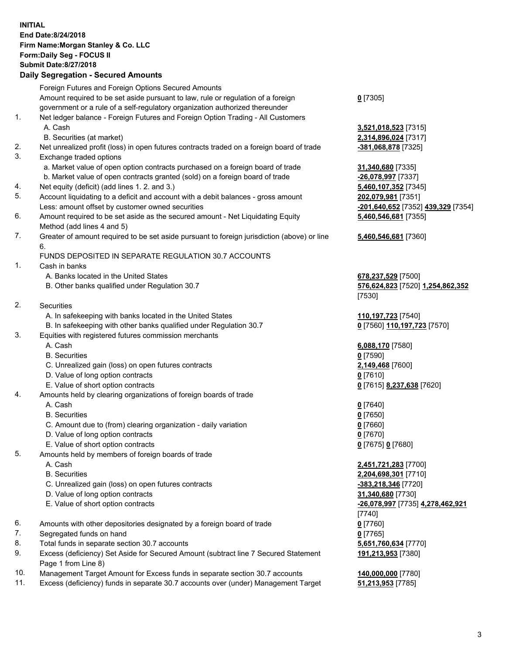## **INITIAL End Date:8/24/2018 Firm Name:Morgan Stanley & Co. LLC Form:Daily Seg - FOCUS II Submit Date:8/27/2018 Daily Segregation - Secured Amounts**

|    | Foreign Futures and Foreign Options Secured Amounts                                                                  |                              |
|----|----------------------------------------------------------------------------------------------------------------------|------------------------------|
|    | Amount required to be set aside pursuant to law, rule or regulation of a foreign                                     | $0$ [7305]                   |
|    | government or a rule of a self-regulatory organization authorized thereunder                                         |                              |
| 1. | Net ledger balance - Foreign Futures and Foreign Option Trading - All Customers                                      |                              |
|    | A. Cash                                                                                                              | 3,521,018,523 [7315]         |
| 2. | B. Securities (at market)                                                                                            | 2,314,896,024 [7317]         |
| 3. | Net unrealized profit (loss) in open futures contracts traded on a foreign board of trade<br>Exchange traded options | <u>-381,068,878</u> [7325]   |
|    | a. Market value of open option contracts purchased on a foreign board of trade                                       | 31,340,680 [7335]            |
|    | b. Market value of open contracts granted (sold) on a foreign board of trade                                         | -26,078,997 [7337]           |
| 4. | Net equity (deficit) (add lines 1.2. and 3.)                                                                         | 5,460,107,352 [7345]         |
| 5. | Account liquidating to a deficit and account with a debit balances - gross amount                                    | 202,079,981 [7351]           |
|    | Less: amount offset by customer owned securities                                                                     | -201,640,652 [7352] 4        |
| 6. | Amount required to be set aside as the secured amount - Net Liquidating Equity                                       | 5,460,546,681 [7355]         |
|    | Method (add lines 4 and 5)                                                                                           |                              |
| 7. | Greater of amount required to be set aside pursuant to foreign jurisdiction (above) or line                          | 5,460,546,681 [7360]         |
|    | 6.                                                                                                                   |                              |
|    | FUNDS DEPOSITED IN SEPARATE REGULATION 30.7 ACCOUNTS                                                                 |                              |
| 1. | Cash in banks                                                                                                        |                              |
|    | A. Banks located in the United States                                                                                | 678,237,529 [7500]           |
|    | B. Other banks qualified under Regulation 30.7                                                                       | 576,624,823 [7520] 1         |
|    |                                                                                                                      | [7530]                       |
| 2. | Securities                                                                                                           |                              |
|    | A. In safekeeping with banks located in the United States                                                            | 110,197,723 [7540]           |
|    | B. In safekeeping with other banks qualified under Regulation 30.7                                                   | 0 [7560] 110,197,723         |
| 3. | Equities with registered futures commission merchants                                                                |                              |
|    | A. Cash                                                                                                              | 6,088,170 [7580]             |
|    | <b>B.</b> Securities                                                                                                 | $0$ [7590]                   |
|    | C. Unrealized gain (loss) on open futures contracts                                                                  | 2,149,468 [7600]             |
|    | D. Value of long option contracts                                                                                    | $0$ [7610]                   |
| 4. | E. Value of short option contracts                                                                                   | 0 [7615] 8,237,638 [7        |
|    | Amounts held by clearing organizations of foreign boards of trade<br>A. Cash                                         | $0$ [7640]                   |
|    | <b>B.</b> Securities                                                                                                 | $0$ [7650]                   |
|    | C. Amount due to (from) clearing organization - daily variation                                                      | $0$ [7660]                   |
|    | D. Value of long option contracts                                                                                    | $0$ [7670]                   |
|    | E. Value of short option contracts                                                                                   | 0 [7675] 0 [7680]            |
| 5. | Amounts held by members of foreign boards of trade                                                                   |                              |
|    | A. Cash                                                                                                              | 2,451,721,283 [7700]         |
|    | <b>B.</b> Securities                                                                                                 | 2,204,698,301 [7710]         |
|    | C. Unrealized gain (loss) on open futures contracts                                                                  | -383,218,346 [7720]          |
|    | D. Value of long option contracts                                                                                    | 31,340,680 [7730]            |
|    | E. Value of short option contracts                                                                                   | <u>-26,078,997</u> [7735] 4, |
|    |                                                                                                                      | [7740]                       |
| 6. | Amounts with other depositories designated by a foreign board of trade                                               | $0$ [7760]                   |
| 7. | Segregated funds on hand                                                                                             | $0$ [7765]                   |
| 8. | Total funds in separate section 30.7 accounts                                                                        | 5,651,760,634 [7770]         |
| 9. | Excess (deficiency) Set Aside for Secured Amount (subtract line 7 Secured Statement                                  | 191,213,953 [7380]           |
|    | Page 1 from Line 8)                                                                                                  |                              |

- 10. Management Target Amount for Excess funds in separate section 30.7 accounts **140,000,000** [7780]
- 11. Excess (deficiency) funds in separate 30.7 accounts over (under) Management Target **51,213,953** [7785]

 $B. 896, 024$  [7317] 2. Net unrealized profit (17325) **0.680** [7335] <mark>78,997</mark> [7337] 107,352 [7345] 5. account 17351] Less: amount offset by customer owned securities **-201,640,652** [7352] **439,329** [7354] **5,460,546,681** [7355]

## **5,460,546,681** [7360]

**87,529** [7500] B. Other banks qualified under Regulation 30.7 **576,624,823** [7520] **1,254,862,352** 1

**97,723** [7540] 80] **110,197,723** [7570]

E. Value of short option contracts **0** [7615] **8,237,638** [7620]

 A. Cash **2,451,721,283** [7700] **B. 698,301** [7710] **218,346** [7720] **0.680** [7730] E. Value of short option contracts **-26,078,997** [7735] **4,278,462,921** 1 8.0 Total [7770] **191,213,953** [7380]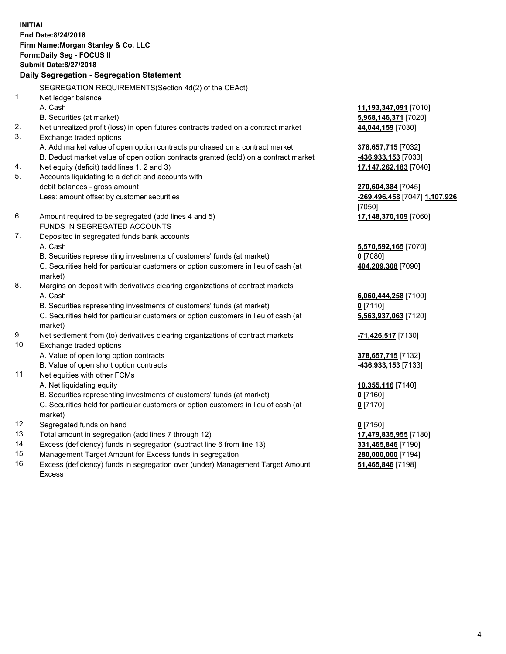**INITIAL End Date:8/24/2018 Firm Name:Morgan Stanley & Co. LLC Form:Daily Seg - FOCUS II Submit Date:8/27/2018 Daily Segregation - Segregation Statement** SEGREGATION REQUIREMENTS(Section 4d(2) of the CEAct) 1. Net ledger balance A. Cash **11,193,347,091** [7010] B. Securities (at market) **5,968,146,371** [7020] 2. Net unrealized profit (loss) in open futures contracts traded on a contract market **44,044,159** [7030] 3. Exchange traded options A. Add market value of open option contracts purchased on a contract market **378,657,715** [7032] B. Deduct market value of open option contracts granted (sold) on a contract market **-436,933,153** [7033] 4. Net equity (deficit) (add lines 1, 2 and 3) **17,147,262,183** [7040] 5. Accounts liquidating to a deficit and accounts with debit balances - gross amount **270,604,384** [7045] Less: amount offset by customer securities **-269,496,458** [7047] **1,107,926** [7050] 6. Amount required to be segregated (add lines 4 and 5) **17,148,370,109** [7060] FUNDS IN SEGREGATED ACCOUNTS 7. Deposited in segregated funds bank accounts A. Cash **5,570,592,165** [7070] B. Securities representing investments of customers' funds (at market) **0** [7080] C. Securities held for particular customers or option customers in lieu of cash (at market) **404,209,308** [7090] 8. Margins on deposit with derivatives clearing organizations of contract markets A. Cash **6,060,444,258** [7100] B. Securities representing investments of customers' funds (at market) **0** [7110] C. Securities held for particular customers or option customers in lieu of cash (at market) **5,563,937,063** [7120] 9. Net settlement from (to) derivatives clearing organizations of contract markets **-71,426,517** [7130] 10. Exchange traded options A. Value of open long option contracts **378,657,715** [7132] B. Value of open short option contracts **-436,933,153** [7133] 11. Net equities with other FCMs A. Net liquidating equity **10,355,116** [7140] B. Securities representing investments of customers' funds (at market) **0** [7160] C. Securities held for particular customers or option customers in lieu of cash (at market) **0** [7170] 12. Segregated funds on hand **0** [7150] 13. Total amount in segregation (add lines 7 through 12) **17,479,835,955** [7180] 14. Excess (deficiency) funds in segregation (subtract line 6 from line 13) **331,465,846** [7190] 15. Management Target Amount for Excess funds in segregation **280,000,000** [7194]

16. Excess (deficiency) funds in segregation over (under) Management Target Amount Excess

**51,465,846** [7198]